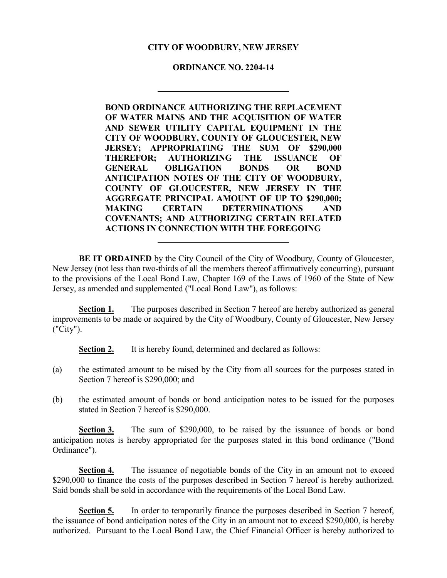# **CITY OF WOODBURY, NEW JERSEY**

# **ORDINANCE NO. 2204-14**

**BOND ORDINANCE AUTHORIZING THE REPLACEMENT OF WATER MAINS AND THE ACQUISITION OF WATER AND SEWER UTILITY CAPITAL EQUIPMENT IN THE CITY OF WOODBURY, COUNTY OF GLOUCESTER, NEW JERSEY; APPROPRIATING THE SUM OF \$290,000 THEREFOR; AUTHORIZING THE ISSUANCE OF GENERAL OBLIGATION BONDS OR BOND ANTICIPATION NOTES OF THE CITY OF WOODBURY, COUNTY OF GLOUCESTER, NEW JERSEY IN THE AGGREGATE PRINCIPAL AMOUNT OF UP TO \$290,000; MAKING CERTAIN DETERMINATIONS AND COVENANTS; AND AUTHORIZING CERTAIN RELATED ACTIONS IN CONNECTION WITH THE FOREGOING**

**BE IT ORDAINED** by the City Council of the City of Woodbury, County of Gloucester, New Jersey (not less than two-thirds of all the members thereof affirmatively concurring), pursuant to the provisions of the Local Bond Law, Chapter 169 of the Laws of 1960 of the State of New Jersey, as amended and supplemented ("Local Bond Law"), as follows:

**Section 1.** The purposes described in Section 7 hereof are hereby authorized as general improvements to be made or acquired by the City of Woodbury, County of Gloucester, New Jersey ("City").

**Section 2.** It is hereby found, determined and declared as follows:

- (a) the estimated amount to be raised by the City from all sources for the purposes stated in Section 7 hereof is \$290,000; and
- (b) the estimated amount of bonds or bond anticipation notes to be issued for the purposes stated in Section 7 hereof is \$290,000.

**Section 3.** The sum of \$290,000, to be raised by the issuance of bonds or bond anticipation notes is hereby appropriated for the purposes stated in this bond ordinance ("Bond Ordinance").

**Section 4.** The issuance of negotiable bonds of the City in an amount not to exceed \$290,000 to finance the costs of the purposes described in Section 7 hereof is hereby authorized. Said bonds shall be sold in accordance with the requirements of the Local Bond Law.

**Section 5.** In order to temporarily finance the purposes described in Section 7 hereof, the issuance of bond anticipation notes of the City in an amount not to exceed \$290,000, is hereby authorized. Pursuant to the Local Bond Law, the Chief Financial Officer is hereby authorized to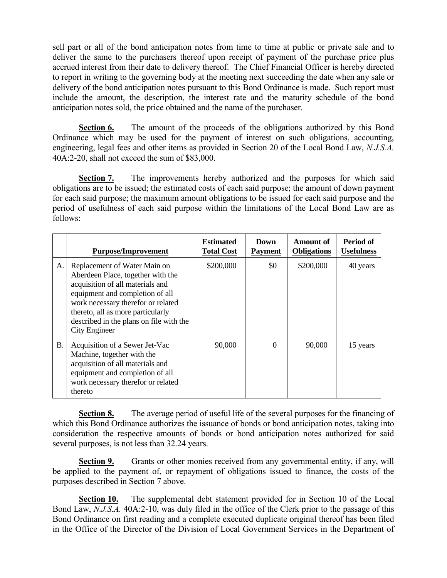sell part or all of the bond anticipation notes from time to time at public or private sale and to deliver the same to the purchasers thereof upon receipt of payment of the purchase price plus accrued interest from their date to delivery thereof. The Chief Financial Officer is hereby directed to report in writing to the governing body at the meeting next succeeding the date when any sale or delivery of the bond anticipation notes pursuant to this Bond Ordinance is made. Such report must include the amount, the description, the interest rate and the maturity schedule of the bond anticipation notes sold, the price obtained and the name of the purchaser.

**Section 6.** The amount of the proceeds of the obligations authorized by this Bond Ordinance which may be used for the payment of interest on such obligations, accounting, engineering, legal fees and other items as provided in Section 20 of the Local Bond Law, *N.J.S.A.* 40A:2-20, shall not exceed the sum of \$83,000.

**Section 7.** The improvements hereby authorized and the purposes for which said obligations are to be issued; the estimated costs of each said purpose; the amount of down payment for each said purpose; the maximum amount obligations to be issued for each said purpose and the period of usefulness of each said purpose within the limitations of the Local Bond Law are as follows:

|    | <b>Purpose/Improvement</b>                                                                                                                                                                                                                                                      | <b>Estimated</b><br><b>Total Cost</b> | Down<br><b>Payment</b> | <b>Amount of</b><br><b>Obligations</b> | Period of<br><b>Usefulness</b> |
|----|---------------------------------------------------------------------------------------------------------------------------------------------------------------------------------------------------------------------------------------------------------------------------------|---------------------------------------|------------------------|----------------------------------------|--------------------------------|
| A. | Replacement of Water Main on<br>Aberdeen Place, together with the<br>acquisition of all materials and<br>equipment and completion of all<br>work necessary therefor or related<br>thereto, all as more particularly<br>described in the plans on file with the<br>City Engineer | \$200,000                             | \$0                    | \$200,000                              | 40 years                       |
| В. | Acquisition of a Sewer Jet-Vac<br>Machine, together with the<br>acquisition of all materials and<br>equipment and completion of all<br>work necessary therefor or related<br>thereto                                                                                            | 90,000                                | $\Omega$               | 90,000                                 | 15 years                       |

**Section 8.** The average period of useful life of the several purposes for the financing of which this Bond Ordinance authorizes the issuance of bonds or bond anticipation notes, taking into consideration the respective amounts of bonds or bond anticipation notes authorized for said several purposes, is not less than 32.24 years.

**Section 9.** Grants or other monies received from any governmental entity, if any, will be applied to the payment of, or repayment of obligations issued to finance, the costs of the purposes described in Section 7 above.

**Section 10.** The supplemental debt statement provided for in Section 10 of the Local Bond Law, *N.J.S.A.* 40A:2-10, was duly filed in the office of the Clerk prior to the passage of this Bond Ordinance on first reading and a complete executed duplicate original thereof has been filed in the Office of the Director of the Division of Local Government Services in the Department of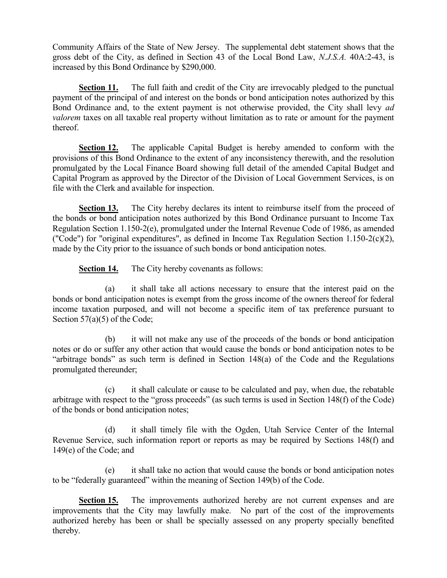Community Affairs of the State of New Jersey. The supplemental debt statement shows that the gross debt of the City, as defined in Section 43 of the Local Bond Law, *N.J.S.A.* 40A:2-43, is increased by this Bond Ordinance by \$290,000.

**Section 11.** The full faith and credit of the City are irrevocably pledged to the punctual payment of the principal of and interest on the bonds or bond anticipation notes authorized by this Bond Ordinance and, to the extent payment is not otherwise provided, the City shall levy *ad valorem* taxes on all taxable real property without limitation as to rate or amount for the payment thereof.

**Section 12.** The applicable Capital Budget is hereby amended to conform with the provisions of this Bond Ordinance to the extent of any inconsistency therewith, and the resolution promulgated by the Local Finance Board showing full detail of the amended Capital Budget and Capital Program as approved by the Director of the Division of Local Government Services, is on file with the Clerk and available for inspection.

**Section 13.** The City hereby declares its intent to reimburse itself from the proceed of the bonds or bond anticipation notes authorized by this Bond Ordinance pursuant to Income Tax Regulation Section 1.150-2(e), promulgated under the Internal Revenue Code of 1986, as amended ("Code") for "original expenditures", as defined in Income Tax Regulation Section 1.150-2(c)(2), made by the City prior to the issuance of such bonds or bond anticipation notes.

**Section 14.** The City hereby covenants as follows:

(a) it shall take all actions necessary to ensure that the interest paid on the bonds or bond anticipation notes is exempt from the gross income of the owners thereof for federal income taxation purposed, and will not become a specific item of tax preference pursuant to Section 57(a)(5) of the Code;

(b) it will not make any use of the proceeds of the bonds or bond anticipation notes or do or suffer any other action that would cause the bonds or bond anticipation notes to be "arbitrage bonds" as such term is defined in Section 148(a) of the Code and the Regulations promulgated thereunder;

(c) it shall calculate or cause to be calculated and pay, when due, the rebatable arbitrage with respect to the "gross proceeds" (as such terms is used in Section 148(f) of the Code) of the bonds or bond anticipation notes;

(d) it shall timely file with the Ogden, Utah Service Center of the Internal Revenue Service, such information report or reports as may be required by Sections 148(f) and 149(e) of the Code; and

(e) it shall take no action that would cause the bonds or bond anticipation notes to be "federally guaranteed" within the meaning of Section 149(b) of the Code.

**Section 15.** The improvements authorized hereby are not current expenses and are improvements that the City may lawfully make. No part of the cost of the improvements authorized hereby has been or shall be specially assessed on any property specially benefited thereby.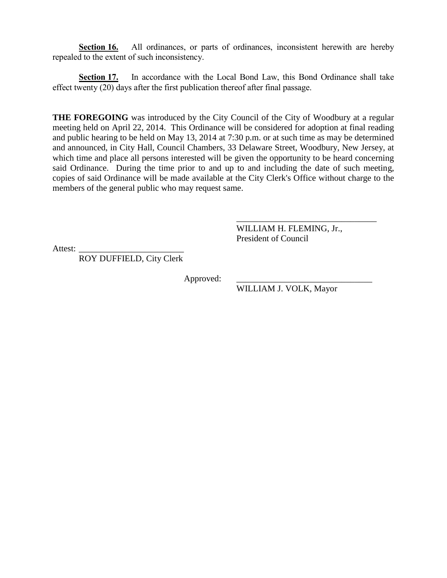**Section 16.** All ordinances, or parts of ordinances, inconsistent herewith are hereby repealed to the extent of such inconsistency.

**Section 17.** In accordance with the Local Bond Law, this Bond Ordinance shall take effect twenty (20) days after the first publication thereof after final passage.

**THE FOREGOING** was introduced by the City Council of the City of Woodbury at a regular meeting held on April 22, 2014. This Ordinance will be considered for adoption at final reading and public hearing to be held on May 13, 2014 at 7:30 p.m. or at such time as may be determined and announced, in City Hall, Council Chambers, 33 Delaware Street, Woodbury, New Jersey, at which time and place all persons interested will be given the opportunity to be heard concerning said Ordinance. During the time prior to and up to and including the date of such meeting, copies of said Ordinance will be made available at the City Clerk's Office without charge to the members of the general public who may request same.

> WILLIAM H. FLEMING, Jr., President of Council

\_\_\_\_\_\_\_\_\_\_\_\_\_\_\_\_\_\_\_\_\_\_\_\_\_\_\_\_\_\_\_\_

Attest:

ROY DUFFIELD, City Clerk

Approved:

WILLIAM J. VOLK, Mayor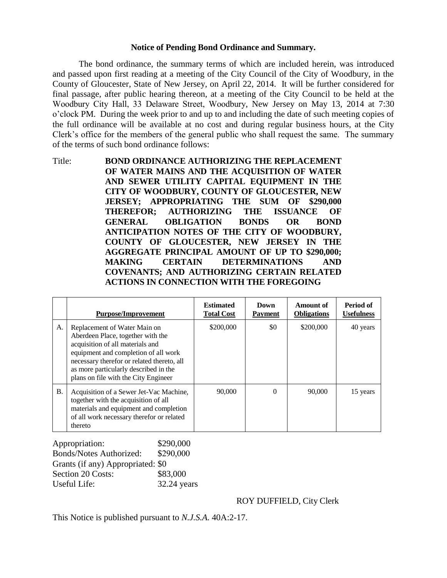#### **Notice of Pending Bond Ordinance and Summary.**

The bond ordinance, the summary terms of which are included herein, was introduced and passed upon first reading at a meeting of the City Council of the City of Woodbury, in the County of Gloucester, State of New Jersey, on April 22, 2014. It will be further considered for final passage, after public hearing thereon, at a meeting of the City Council to be held at the Woodbury City Hall, 33 Delaware Street, Woodbury, New Jersey on May 13, 2014 at 7:30 o'clock PM. During the week prior to and up to and including the date of such meeting copies of the full ordinance will be available at no cost and during regular business hours, at the City Clerk's office for the members of the general public who shall request the same. The summary of the terms of such bond ordinance follows:

Title: **BOND ORDINANCE AUTHORIZING THE REPLACEMENT OF WATER MAINS AND THE ACQUISITION OF WATER AND SEWER UTILITY CAPITAL EQUIPMENT IN THE CITY OF WOODBURY, COUNTY OF GLOUCESTER, NEW JERSEY; APPROPRIATING THE SUM OF \$290,000 THEREFOR; AUTHORIZING THE ISSUANCE OF GENERAL OBLIGATION BONDS OR BOND ANTICIPATION NOTES OF THE CITY OF WOODBURY, COUNTY OF GLOUCESTER, NEW JERSEY IN THE AGGREGATE PRINCIPAL AMOUNT OF UP TO \$290,000; MAKING CERTAIN DETERMINATIONS AND COVENANTS; AND AUTHORIZING CERTAIN RELATED ACTIONS IN CONNECTION WITH THE FOREGOING**

|    | <b>Purpose/Improvement</b>                                                                                                                                                                                                                                                   | <b>Estimated</b><br><b>Total Cost</b> | Down<br><b>Payment</b> | Amount of<br><b>Obligations</b> | Period of<br><b>Usefulness</b> |
|----|------------------------------------------------------------------------------------------------------------------------------------------------------------------------------------------------------------------------------------------------------------------------------|---------------------------------------|------------------------|---------------------------------|--------------------------------|
| A. | Replacement of Water Main on<br>Aberdeen Place, together with the<br>acquisition of all materials and<br>equipment and completion of all work<br>necessary therefor or related thereto, all<br>as more particularly described in the<br>plans on file with the City Engineer | \$200,000                             | \$0                    | \$200,000                       | 40 years                       |
| Β. | Acquisition of a Sewer Jet-Vac Machine,<br>together with the acquisition of all<br>materials and equipment and completion<br>of all work necessary therefor or related<br>thereto                                                                                            | 90,000                                | $\Omega$               | 90,000                          | 15 years                       |

| Appropriation:                    | \$290,000   |
|-----------------------------------|-------------|
| <b>Bonds/Notes Authorized:</b>    | \$290,000   |
| Grants (if any) Appropriated: \$0 |             |
| Section 20 Costs:                 | \$83,000    |
| Useful Life:                      | 32.24 years |

## ROY DUFFIELD, City Clerk

This Notice is published pursuant to *N.J.S.A.* 40A:2-17.